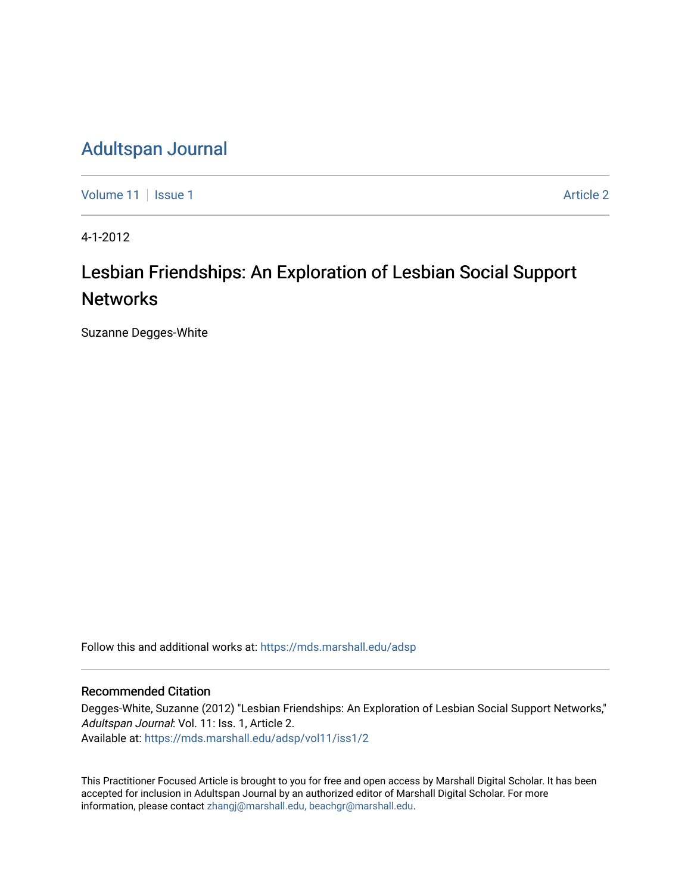## [Adultspan Journal](https://mds.marshall.edu/adsp)

[Volume 11](https://mds.marshall.edu/adsp/vol11) | [Issue 1](https://mds.marshall.edu/adsp/vol11/iss1) Article 2

4-1-2012

# Lesbian Friendships: An Exploration of Lesbian Social Support **Networks**

Suzanne Degges-White

Follow this and additional works at: [https://mds.marshall.edu/adsp](https://mds.marshall.edu/adsp?utm_source=mds.marshall.edu%2Fadsp%2Fvol11%2Fiss1%2F2&utm_medium=PDF&utm_campaign=PDFCoverPages) 

### Recommended Citation

Degges-White, Suzanne (2012) "Lesbian Friendships: An Exploration of Lesbian Social Support Networks," Adultspan Journal: Vol. 11: Iss. 1, Article 2. Available at: [https://mds.marshall.edu/adsp/vol11/iss1/2](https://mds.marshall.edu/adsp/vol11/iss1/2?utm_source=mds.marshall.edu%2Fadsp%2Fvol11%2Fiss1%2F2&utm_medium=PDF&utm_campaign=PDFCoverPages) 

This Practitioner Focused Article is brought to you for free and open access by Marshall Digital Scholar. It has been accepted for inclusion in Adultspan Journal by an authorized editor of Marshall Digital Scholar. For more information, please contact [zhangj@marshall.edu, beachgr@marshall.edu](mailto:zhangj@marshall.edu,%20beachgr@marshall.edu).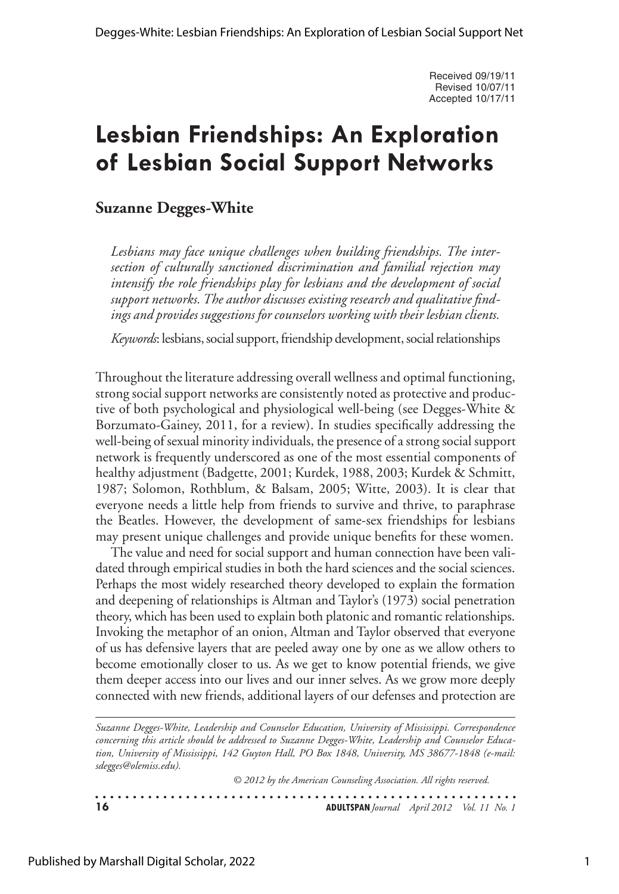# **Lesbian Friendships: An Exploration of Lesbian Social Support Networks**

**Suzanne Degges-White**

*Lesbians may face unique challenges when building friendships. The intersection of culturally sanctioned discrimination and familial rejection may intensify the role friendships play for lesbians and the development of social support networks. The author discusses existing research and qualitative findings and provides suggestions for counselors working with their lesbian clients.* 

*Keywords*: lesbians, social support, friendship development, social relationships

Throughout the literature addressing overall wellness and optimal functioning, strong social support networks are consistently noted as protective and productive of both psychological and physiological well-being (see Degges-White & Borzumato-Gainey, 2011, for a review). In studies specifically addressing the well-being of sexual minority individuals, the presence of a strong social support network is frequently underscored as one of the most essential components of healthy adjustment (Badgette, 2001; Kurdek, 1988, 2003; Kurdek & Schmitt, 1987; Solomon, Rothblum, & Balsam, 2005; Witte, 2003). It is clear that everyone needs a little help from friends to survive and thrive, to paraphrase the Beatles. However, the development of same-sex friendships for lesbians may present unique challenges and provide unique benefits for these women.

The value and need for social support and human connection have been validated through empirical studies in both the hard sciences and the social sciences. Perhaps the most widely researched theory developed to explain the formation and deepening of relationships is Altman and Taylor's (1973) social penetration theory, which has been used to explain both platonic and romantic relationships. Invoking the metaphor of an onion, Altman and Taylor observed that everyone of us has defensive layers that are peeled away one by one as we allow others to become emotionally closer to us. As we get to know potential friends, we give them deeper access into our lives and our inner selves. As we grow more deeply connected with new friends, additional layers of our defenses and protection are

*Suzanne Degges-White, Leadership and Counselor Education, University of Mississippi. Correspondence concerning this article should be addressed to Suzanne Degges-White, Leadership and Counselor Education, University of Mississippi, 142 Guyton Hall, PO Box 1848, University, MS 38677-1848 (e-mail: sdegges@olemiss.edu).*

*© 2012 by the American Counseling Association. All rights reserved.* **16 ADULTSPAN***Journal April 2012 Vol. 11 No. 1*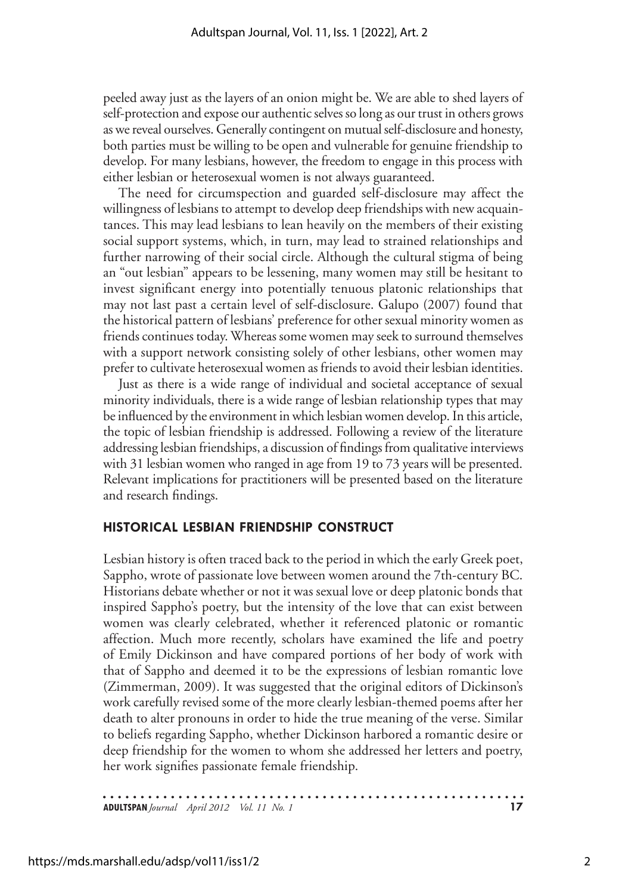peeled away just as the layers of an onion might be. We are able to shed layers of self-protection and expose our authentic selves so long as our trust in others grows as we reveal ourselves. Generally contingent on mutual self-disclosure and honesty, both parties must be willing to be open and vulnerable for genuine friendship to develop. For many lesbians, however, the freedom to engage in this process with either lesbian or heterosexual women is not always guaranteed.

The need for circumspection and guarded self-disclosure may affect the willingness of lesbians to attempt to develop deep friendships with new acquaintances. This may lead lesbians to lean heavily on the members of their existing social support systems, which, in turn, may lead to strained relationships and further narrowing of their social circle. Although the cultural stigma of being an "out lesbian" appears to be lessening, many women may still be hesitant to invest significant energy into potentially tenuous platonic relationships that may not last past a certain level of self-disclosure. Galupo (2007) found that the historical pattern of lesbians' preference for other sexual minority women as friends continues today. Whereas some women may seek to surround themselves with a support network consisting solely of other lesbians, other women may prefer to cultivate heterosexual women as friends to avoid their lesbian identities.

Just as there is a wide range of individual and societal acceptance of sexual minority individuals, there is a wide range of lesbian relationship types that may be influenced by the environment in which lesbian women develop. In this article, the topic of lesbian friendship is addressed. Following a review of the literature addressing lesbian friendships, a discussion of findings from qualitative interviews with 31 lesbian women who ranged in age from 19 to 73 years will be presented. Relevant implications for practitioners will be presented based on the literature and research findings.

#### **Historical Lesbian Friendship Construct**

Lesbian history is often traced back to the period in which the early Greek poet, Sappho, wrote of passionate love between women around the 7th-century BC. Historians debate whether or not it was sexual love or deep platonic bonds that inspired Sappho's poetry, but the intensity of the love that can exist between women was clearly celebrated, whether it referenced platonic or romantic affection. Much more recently, scholars have examined the life and poetry of Emily Dickinson and have compared portions of her body of work with that of Sappho and deemed it to be the expressions of lesbian romantic love (Zimmerman, 2009). It was suggested that the original editors of Dickinson's work carefully revised some of the more clearly lesbian-themed poems after her death to alter pronouns in order to hide the true meaning of the verse. Similar to beliefs regarding Sappho, whether Dickinson harbored a romantic desire or deep friendship for the women to whom she addressed her letters and poetry, her work signifies passionate female friendship.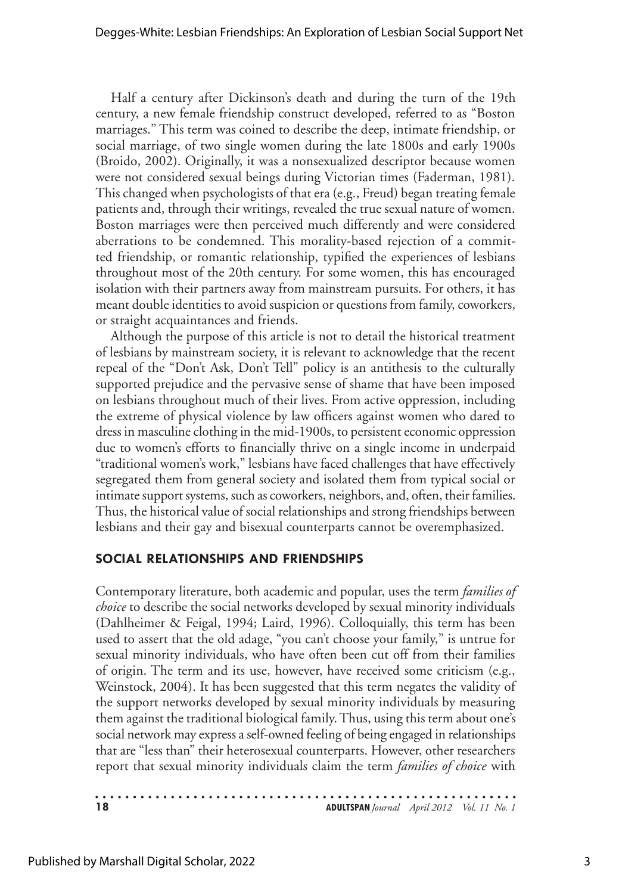Half a century after Dickinson's death and during the turn of the 19th century, a new female friendship construct developed, referred to as "Boston marriages." This term was coined to describe the deep, intimate friendship, or social marriage, of two single women during the late 1800s and early 1900s (Broido, 2002). Originally, it was a nonsexualized descriptor because women were not considered sexual beings during Victorian times (Faderman, 1981). This changed when psychologists of that era (e.g., Freud) began treating female patients and, through their writings, revealed the true sexual nature of women. Boston marriages were then perceived much differently and were considered aberrations to be condemned. This morality-based rejection of a committed friendship, or romantic relationship, typified the experiences of lesbians throughout most of the 20th century. For some women, this has encouraged isolation with their partners away from mainstream pursuits. For others, it has meant double identities to avoid suspicion or questions from family, coworkers, or straight acquaintances and friends.

Although the purpose of this article is not to detail the historical treatment of lesbians by mainstream society, it is relevant to acknowledge that the recent repeal of the "Don't Ask, Don't Tell" policy is an antithesis to the culturally supported prejudice and the pervasive sense of shame that have been imposed on lesbians throughout much of their lives. From active oppression, including the extreme of physical violence by law officers against women who dared to dress in masculine clothing in the mid-1900s, to persistent economic oppression due to women's efforts to financially thrive on a single income in underpaid "traditional women's work," lesbians have faced challenges that have effectively segregated them from general society and isolated them from typical social or intimate support systems, such as coworkers, neighbors, and, often, their families. Thus, the historical value of social relationships and strong friendships between lesbians and their gay and bisexual counterparts cannot be overemphasized.

### **Social Relationships and Friendships**

Contemporary literature, both academic and popular, uses the term *families of choice* to describe the social networks developed by sexual minority individuals (Dahlheimer & Feigal, 1994; Laird, 1996). Colloquially, this term has been used to assert that the old adage, "you can't choose your family," is untrue for sexual minority individuals, who have often been cut off from their families of origin. The term and its use, however, have received some criticism (e.g., Weinstock, 2004). It has been suggested that this term negates the validity of the support networks developed by sexual minority individuals by measuring them against the traditional biological family. Thus, using this term about one's social network may express a self-owned feeling of being engaged in relationships that are "less than" their heterosexual counterparts. However, other researchers report that sexual minority individuals claim the term *families of choice* with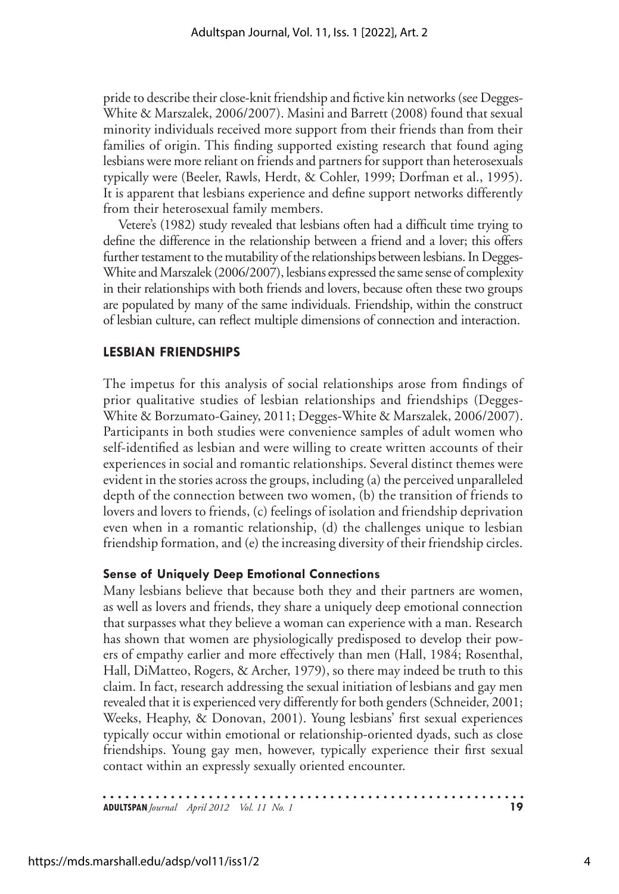pride to describe their close-knit friendship and fictive kin networks (see Degges-White & Marszalek, 2006/2007). Masini and Barrett (2008) found that sexual minority individuals received more support from their friends than from their families of origin. This finding supported existing research that found aging lesbians were more reliant on friends and partners for support than heterosexuals typically were (Beeler, Rawls, Herdt, & Cohler, 1999; Dorfman et al., 1995). It is apparent that lesbians experience and define support networks differently from their heterosexual family members.

Vetere's (1982) study revealed that lesbians often had a difficult time trying to define the difference in the relationship between a friend and a lover; this offers further testament to the mutability of the relationships between lesbians. In Degges-White and Marszalek (2006/2007), lesbians expressed the same sense of complexity in their relationships with both friends and lovers, because often these two groups are populated by many of the same individuals. Friendship, within the construct of lesbian culture, can reflect multiple dimensions of connection and interaction.

#### **Lesbian Friendships**

The impetus for this analysis of social relationships arose from findings of prior qualitative studies of lesbian relationships and friendships (Degges-White & Borzumato-Gainey, 2011; Degges-White & Marszalek, 2006/2007). Participants in both studies were convenience samples of adult women who self-identified as lesbian and were willing to create written accounts of their experiences in social and romantic relationships. Several distinct themes were evident in the stories across the groups, including (a) the perceived unparalleled depth of the connection between two women, (b) the transition of friends to lovers and lovers to friends, (c) feelings of isolation and friendship deprivation even when in a romantic relationship, (d) the challenges unique to lesbian friendship formation, and (e) the increasing diversity of their friendship circles.

#### **Sense of Uniquely Deep Emotional Connections**

Many lesbians believe that because both they and their partners are women, as well as lovers and friends, they share a uniquely deep emotional connection that surpasses what they believe a woman can experience with a man. Research has shown that women are physiologically predisposed to develop their powers of empathy earlier and more effectively than men (Hall, 1984; Rosenthal, Hall, DiMatteo, Rogers, & Archer, 1979), so there may indeed be truth to this claim. In fact, research addressing the sexual initiation of lesbians and gay men revealed that it is experienced very differently for both genders (Schneider, 2001; Weeks, Heaphy, & Donovan, 2001). Young lesbians' first sexual experiences typically occur within emotional or relationship-oriented dyads, such as close friendships. Young gay men, however, typically experience their first sexual contact within an expressly sexually oriented encounter.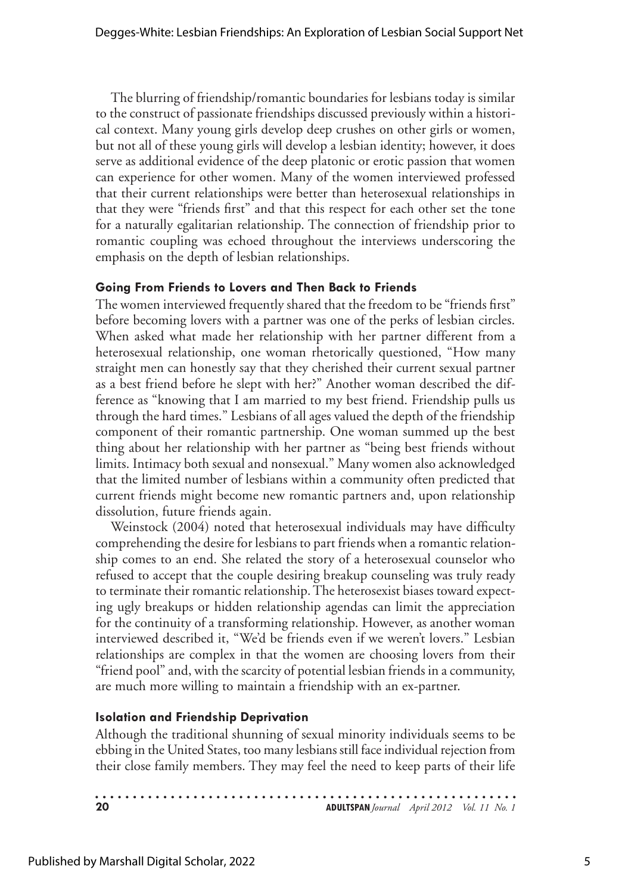The blurring of friendship/romantic boundaries for lesbians today is similar to the construct of passionate friendships discussed previously within a historical context. Many young girls develop deep crushes on other girls or women, but not all of these young girls will develop a lesbian identity; however, it does serve as additional evidence of the deep platonic or erotic passion that women can experience for other women. Many of the women interviewed professed that their current relationships were better than heterosexual relationships in that they were "friends first" and that this respect for each other set the tone for a naturally egalitarian relationship. The connection of friendship prior to romantic coupling was echoed throughout the interviews underscoring the emphasis on the depth of lesbian relationships.

#### **Going From Friends to Lovers and Then Back to Friends**

The women interviewed frequently shared that the freedom to be "friends first" before becoming lovers with a partner was one of the perks of lesbian circles. When asked what made her relationship with her partner different from a heterosexual relationship, one woman rhetorically questioned, "How many straight men can honestly say that they cherished their current sexual partner as a best friend before he slept with her?" Another woman described the difference as "knowing that I am married to my best friend. Friendship pulls us through the hard times." Lesbians of all ages valued the depth of the friendship component of their romantic partnership. One woman summed up the best thing about her relationship with her partner as "being best friends without limits. Intimacy both sexual and nonsexual." Many women also acknowledged that the limited number of lesbians within a community often predicted that current friends might become new romantic partners and, upon relationship dissolution, future friends again.

Weinstock (2004) noted that heterosexual individuals may have difficulty comprehending the desire for lesbians to part friends when a romantic relationship comes to an end. She related the story of a heterosexual counselor who refused to accept that the couple desiring breakup counseling was truly ready to terminate their romantic relationship. The heterosexist biases toward expecting ugly breakups or hidden relationship agendas can limit the appreciation for the continuity of a transforming relationship. However, as another woman interviewed described it, "We'd be friends even if we weren't lovers." Lesbian relationships are complex in that the women are choosing lovers from their "friend pool" and, with the scarcity of potential lesbian friends in a community, are much more willing to maintain a friendship with an ex-partner.

#### **Isolation and Friendship Deprivation**

Although the traditional shunning of sexual minority individuals seems to be ebbing in the United States, too many lesbians still face individual rejection from their close family members. They may feel the need to keep parts of their life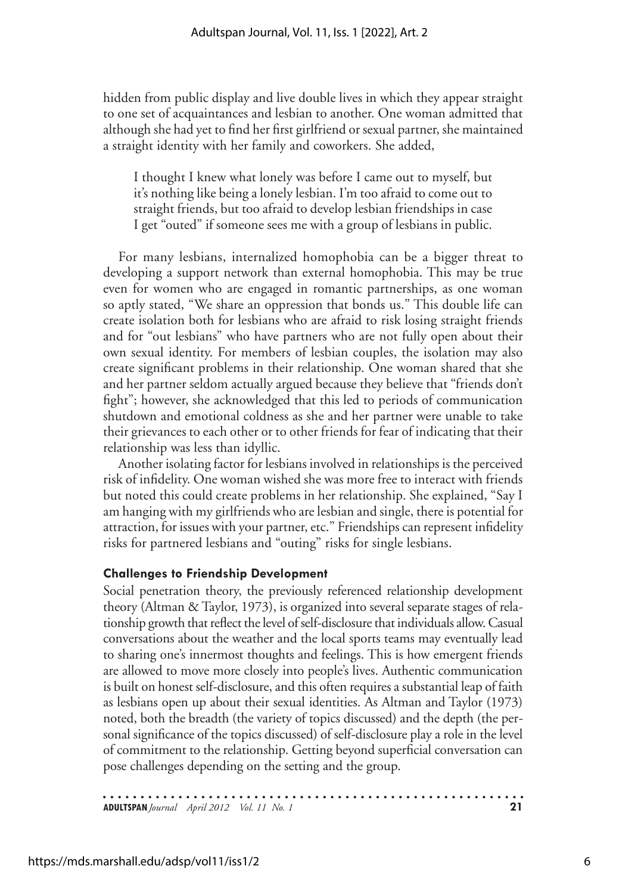hidden from public display and live double lives in which they appear straight to one set of acquaintances and lesbian to another. One woman admitted that although she had yet to find her first girlfriend or sexual partner, she maintained a straight identity with her family and coworkers. She added,

I thought I knew what lonely was before I came out to myself, but it's nothing like being a lonely lesbian. I'm too afraid to come out to straight friends, but too afraid to develop lesbian friendships in case I get "outed" if someone sees me with a group of lesbians in public.

For many lesbians, internalized homophobia can be a bigger threat to developing a support network than external homophobia. This may be true even for women who are engaged in romantic partnerships, as one woman so aptly stated, "We share an oppression that bonds us." This double life can create isolation both for lesbians who are afraid to risk losing straight friends and for "out lesbians" who have partners who are not fully open about their own sexual identity. For members of lesbian couples, the isolation may also create significant problems in their relationship. One woman shared that she and her partner seldom actually argued because they believe that "friends don't fight"; however, she acknowledged that this led to periods of communication shutdown and emotional coldness as she and her partner were unable to take their grievances to each other or to other friends for fear of indicating that their relationship was less than idyllic.

Another isolating factor for lesbians involved in relationships is the perceived risk of infidelity. One woman wished she was more free to interact with friends but noted this could create problems in her relationship. She explained, "Say I am hanging with my girlfriends who are lesbian and single, there is potential for attraction, for issues with your partner, etc." Friendships can represent infidelity risks for partnered lesbians and "outing" risks for single lesbians.

#### **Challenges to Friendship Development**

Social penetration theory, the previously referenced relationship development theory (Altman & Taylor, 1973), is organized into several separate stages of relationship growth that reflect the level of self-disclosure that individuals allow. Casual conversations about the weather and the local sports teams may eventually lead to sharing one's innermost thoughts and feelings. This is how emergent friends are allowed to move more closely into people's lives. Authentic communication is built on honest self-disclosure, and this often requires a substantial leap of faith as lesbians open up about their sexual identities. As Altman and Taylor (1973) noted, both the breadth (the variety of topics discussed) and the depth (the personal significance of the topics discussed) of self-disclosure play a role in the level of commitment to the relationship. Getting beyond superficial conversation can pose challenges depending on the setting and the group.

. . . . . . . . . . **. . . . . . . . . . . . . .** . **ADULTSPAN***Journal April 2012 Vol. 11 No. 1* **21**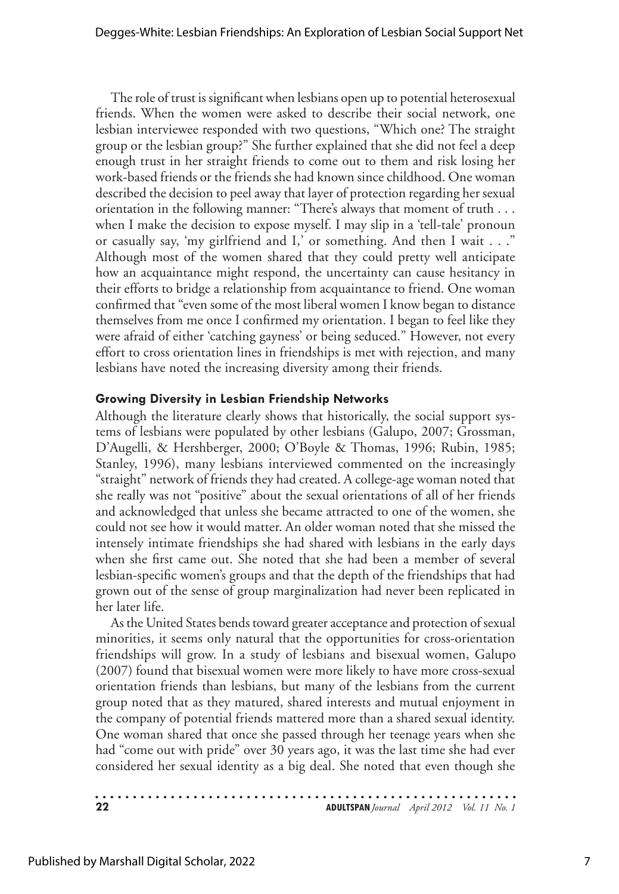The role of trust is significant when lesbians open up to potential heterosexual friends. When the women were asked to describe their social network, one lesbian interviewee responded with two questions, "Which one? The straight group or the lesbian group?" She further explained that she did not feel a deep enough trust in her straight friends to come out to them and risk losing her work-based friends or the friends she had known since childhood. One woman described the decision to peel away that layer of protection regarding her sexual orientation in the following manner: "There's always that moment of truth . . . when I make the decision to expose myself. I may slip in a 'tell-tale' pronoun or casually say, 'my girlfriend and I,' or something. And then I wait . . ." Although most of the women shared that they could pretty well anticipate how an acquaintance might respond, the uncertainty can cause hesitancy in their efforts to bridge a relationship from acquaintance to friend. One woman confirmed that "even some of the most liberal women I know began to distance themselves from me once I confirmed my orientation. I began to feel like they were afraid of either 'catching gayness' or being seduced." However, not every effort to cross orientation lines in friendships is met with rejection, and many lesbians have noted the increasing diversity among their friends.

#### **Growing Diversity in Lesbian Friendship Networks**

Although the literature clearly shows that historically, the social support systems of lesbians were populated by other lesbians (Galupo, 2007; Grossman, D'Augelli, & Hershberger, 2000; O'Boyle & Thomas, 1996; Rubin, 1985; Stanley, 1996), many lesbians interviewed commented on the increasingly "straight" network of friends they had created. A college-age woman noted that she really was not "positive" about the sexual orientations of all of her friends and acknowledged that unless she became attracted to one of the women, she could not see how it would matter. An older woman noted that she missed the intensely intimate friendships she had shared with lesbians in the early days when she first came out. She noted that she had been a member of several lesbian-specific women's groups and that the depth of the friendships that had grown out of the sense of group marginalization had never been replicated in her later life.

As the United States bends toward greater acceptance and protection of sexual minorities, it seems only natural that the opportunities for cross-orientation friendships will grow. In a study of lesbians and bisexual women, Galupo (2007) found that bisexual women were more likely to have more cross-sexual orientation friends than lesbians, but many of the lesbians from the current group noted that as they matured, shared interests and mutual enjoyment in the company of potential friends mattered more than a shared sexual identity. One woman shared that once she passed through her teenage years when she had "come out with pride" over 30 years ago, it was the last time she had ever considered her sexual identity as a big deal. She noted that even though she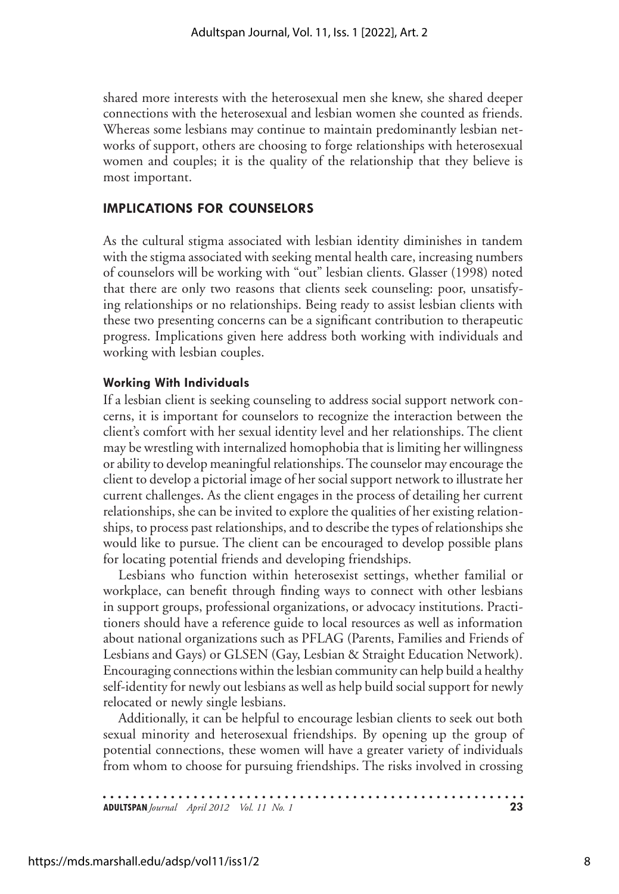shared more interests with the heterosexual men she knew, she shared deeper connections with the heterosexual and lesbian women she counted as friends. Whereas some lesbians may continue to maintain predominantly lesbian networks of support, others are choosing to forge relationships with heterosexual women and couples; it is the quality of the relationship that they believe is most important.

#### **Implications for Counselors**

As the cultural stigma associated with lesbian identity diminishes in tandem with the stigma associated with seeking mental health care, increasing numbers of counselors will be working with "out" lesbian clients. Glasser (1998) noted that there are only two reasons that clients seek counseling: poor, unsatisfying relationships or no relationships. Being ready to assist lesbian clients with these two presenting concerns can be a significant contribution to therapeutic progress. Implications given here address both working with individuals and working with lesbian couples.

#### **Working With Individuals**

If a lesbian client is seeking counseling to address social support network concerns, it is important for counselors to recognize the interaction between the client's comfort with her sexual identity level and her relationships. The client may be wrestling with internalized homophobia that is limiting her willingness or ability to develop meaningful relationships. The counselor may encourage the client to develop a pictorial image of her social support network to illustrate her current challenges. As the client engages in the process of detailing her current relationships, she can be invited to explore the qualities of her existing relationships, to process past relationships, and to describe the types of relationships she would like to pursue. The client can be encouraged to develop possible plans for locating potential friends and developing friendships.

Lesbians who function within heterosexist settings, whether familial or workplace, can benefit through finding ways to connect with other lesbians in support groups, professional organizations, or advocacy institutions. Practitioners should have a reference guide to local resources as well as information about national organizations such as PFLAG (Parents, Families and Friends of Lesbians and Gays) or GLSEN (Gay, Lesbian & Straight Education Network). Encouraging connections within the lesbian community can help build a healthy self-identity for newly out lesbians as well as help build social support for newly relocated or newly single lesbians.

Additionally, it can be helpful to encourage lesbian clients to seek out both sexual minority and heterosexual friendships. By opening up the group of potential connections, these women will have a greater variety of individuals from whom to choose for pursuing friendships. The risks involved in crossing

| <b>ADULTSPAN</b> Journal April 2012 Vol. 11 No. 1 |  | 23 |
|---------------------------------------------------|--|----|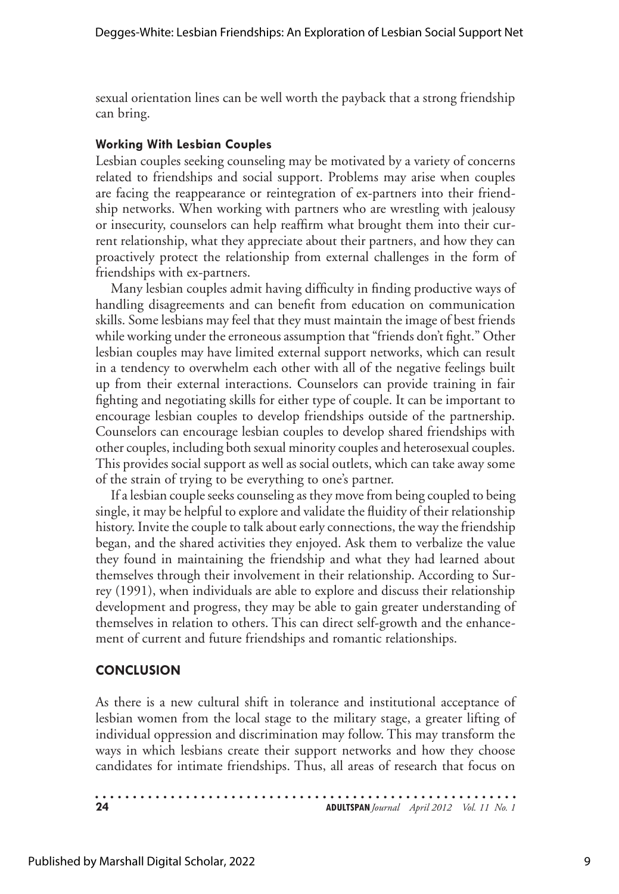sexual orientation lines can be well worth the payback that a strong friendship can bring.

#### **Working With Lesbian Couples**

Lesbian couples seeking counseling may be motivated by a variety of concerns related to friendships and social support. Problems may arise when couples are facing the reappearance or reintegration of ex-partners into their friendship networks. When working with partners who are wrestling with jealousy or insecurity, counselors can help reaffirm what brought them into their current relationship, what they appreciate about their partners, and how they can proactively protect the relationship from external challenges in the form of friendships with ex-partners.

Many lesbian couples admit having difficulty in finding productive ways of handling disagreements and can benefit from education on communication skills. Some lesbians may feel that they must maintain the image of best friends while working under the erroneous assumption that "friends don't fight." Other lesbian couples may have limited external support networks, which can result in a tendency to overwhelm each other with all of the negative feelings built up from their external interactions. Counselors can provide training in fair fighting and negotiating skills for either type of couple. It can be important to encourage lesbian couples to develop friendships outside of the partnership. Counselors can encourage lesbian couples to develop shared friendships with other couples, including both sexual minority couples and heterosexual couples. This provides social support as well as social outlets, which can take away some of the strain of trying to be everything to one's partner.

If a lesbian couple seeks counseling as they move from being coupled to being single, it may be helpful to explore and validate the fluidity of their relationship history. Invite the couple to talk about early connections, the way the friendship began, and the shared activities they enjoyed. Ask them to verbalize the value they found in maintaining the friendship and what they had learned about themselves through their involvement in their relationship. According to Surrey (1991), when individuals are able to explore and discuss their relationship development and progress, they may be able to gain greater understanding of themselves in relation to others. This can direct self-growth and the enhancement of current and future friendships and romantic relationships.

#### **Conclusion**

As there is a new cultural shift in tolerance and institutional acceptance of lesbian women from the local stage to the military stage, a greater lifting of individual oppression and discrimination may follow. This may transform the ways in which lesbians create their support networks and how they choose candidates for intimate friendships. Thus, all areas of research that focus on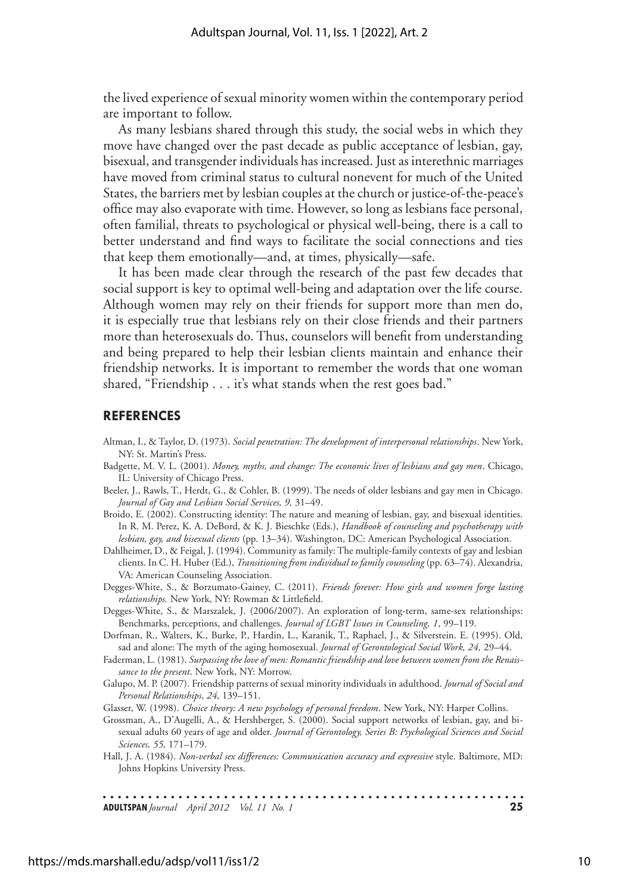the lived experience of sexual minority women within the contemporary period are important to follow.

As many lesbians shared through this study, the social webs in which they move have changed over the past decade as public acceptance of lesbian, gay, bisexual, and transgender individuals has increased. Just as interethnic marriages have moved from criminal status to cultural nonevent for much of the United States, the barriers met by lesbian couples at the church or justice-of-the-peace's office may also evaporate with time. However, so long as lesbians face personal, often familial, threats to psychological or physical well-being, there is a call to better understand and find ways to facilitate the social connections and ties that keep them emotionally—and, at times, physically—safe.

It has been made clear through the research of the past few decades that social support is key to optimal well-being and adaptation over the life course. Although women may rely on their friends for support more than men do, it is especially true that lesbians rely on their close friends and their partners more than heterosexuals do. Thus, counselors will benefit from understanding and being prepared to help their lesbian clients maintain and enhance their friendship networks. It is important to remember the words that one woman shared, "Friendship . . . it's what stands when the rest goes bad."

#### **References**

- Altman, I., & Taylor, D. (1973). *Social penetration: The development of interpersonal relationships*. New York, NY: St. Martin's Press.
- Badgette, M. V. L. (2001). *Money, myths, and change: The economic lives of lesbians and gay men*. Chicago, IL: University of Chicago Press.
- Beeler, J., Rawls, T., Herdt, G., & Cohler, B. (1999). The needs of older lesbians and gay men in Chicago*. Journal of Gay and Lesbian Social Services, 9,* 31–49.
- Broido, E. (2002). Constructing identity: The nature and meaning of lesbian, gay, and bisexual identities. In R. M. Perez, K. A. DeBord, & K. J. Bieschke (Eds.), *Handbook of counseling and psychotherapy with lesbian, gay, and bisexual clients* (pp. 13–34). Washington, DC: American Psychological Association.
- Dahlheimer, D., & Feigal, J. (1994). Community as family: The multiple-family contexts of gay and lesbian clients. In C. H. Huber (Ed.), *Transitioning from individual to family counseling* (pp. 63–74). Alexandria, VA: American Counseling Association.
- Degges-White, S., & Borzumato-Gainey, C. (2011). *Friends forever: How girls and women forge lasting relationships.* New York, NY: Rowman & Littlefield.
- Degges-White, S., & Marszalek, J. (2006/2007). An exploration of long-term, same-sex relationships: Benchmarks, perceptions, and challenges. *Journal of LGBT Issues in Counseling, 1*, 99–119.
- Dorfman, R., Walters, K., Burke, P., Hardin, L., Karanik, T., Raphael, J., & Silverstein. E. (1995). Old, sad and alone: The myth of the aging homosexual. *Journal of Gerontological Social Work, 24,* 29–44.
- Faderman, L. (1981). *Surpassing the love of men: Romantic friendship and love between women from the Renaissance to the present*. New York, NY: Morrow.
- Galupo, M. P. (2007). Friendship patterns of sexual minority individuals in adulthood. *Journal of Social and Personal Relationships*, *24,* 139–151.
- Glasser, W. (1998). *Choice theory: A new psychology of personal freedom*. New York, NY: Harper Collins.
- Grossman, A., D'Augelli, A., & Hershberger, S. (2000). Social support networks of lesbian, gay, and bisexual adults 60 years of age and older. *Journal of Gerontology, Series B: Psychological Sciences and Social Sciences, 55,* 171–179.
- Hall, J. A. (1984). *Non-verbal sex differences: Communication accuracy and expressive* style. Baltimore, MD: Johns Hopkins University Press.